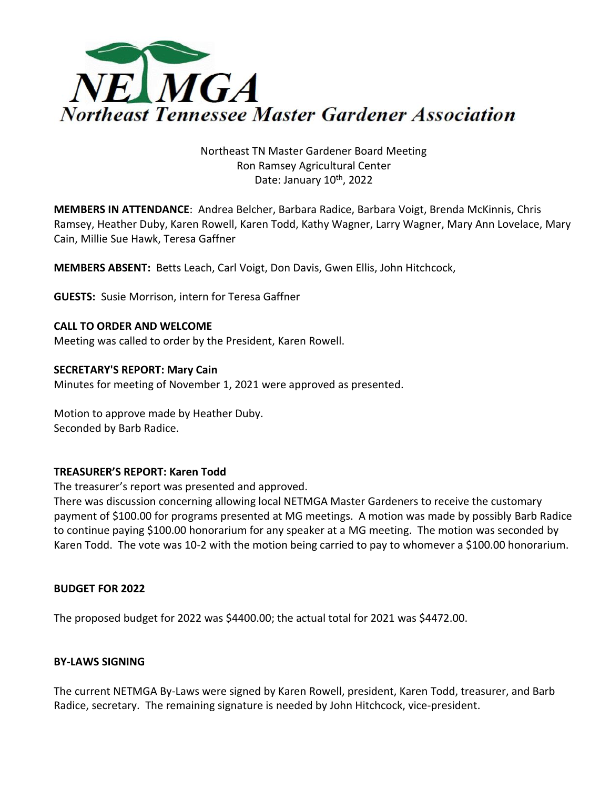

# Northeast TN Master Gardener Board Meeting Ron Ramsey Agricultural Center Date: January 10<sup>th</sup>, 2022

**MEMBERS IN ATTENDANCE**: Andrea Belcher, Barbara Radice, Barbara Voigt, Brenda McKinnis, Chris Ramsey, Heather Duby, Karen Rowell, Karen Todd, Kathy Wagner, Larry Wagner, Mary Ann Lovelace, Mary Cain, Millie Sue Hawk, Teresa Gaffner

**MEMBERS ABSENT:** Betts Leach, Carl Voigt, Don Davis, Gwen Ellis, John Hitchcock,

**GUESTS:** Susie Morrison, intern for Teresa Gaffner

**CALL TO ORDER AND WELCOME** Meeting was called to order by the President, Karen Rowell.

#### **SECRETARY'S REPORT: Mary Cain** Minutes for meeting of November 1, 2021 were approved as presented.

Motion to approve made by Heather Duby. Seconded by Barb Radice.

# **TREASURER'S REPORT: Karen Todd**

The treasurer's report was presented and approved.

There was discussion concerning allowing local NETMGA Master Gardeners to receive the customary payment of \$100.00 for programs presented at MG meetings. A motion was made by possibly Barb Radice to continue paying \$100.00 honorarium for any speaker at a MG meeting. The motion was seconded by Karen Todd. The vote was 10-2 with the motion being carried to pay to whomever a \$100.00 honorarium.

# **BUDGET FOR 2022**

The proposed budget for 2022 was \$4400.00; the actual total for 2021 was \$4472.00.

# **BY-LAWS SIGNING**

The current NETMGA By-Laws were signed by Karen Rowell, president, Karen Todd, treasurer, and Barb Radice, secretary. The remaining signature is needed by John Hitchcock, vice-president.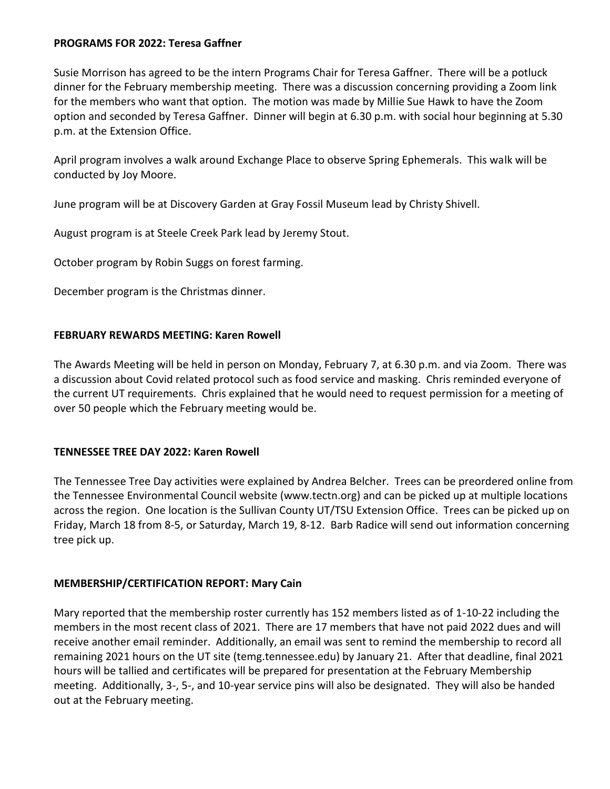# **PROGRAMS FOR 2022: Teresa Gaffner**

Susie Morrison has agreed to be the intern Programs Chair for Teresa Gaffner. There will be a potluck dinner for the February membership meeting. There was a discussion concerning providing a Zoom link for the members who want that option. The motion was made by Millie Sue Hawk to have the Zoom option and seconded by Teresa Gaffner. Dinner will begin at 6.30 p.m. with social hour beginning at 5.30 p.m. at the Extension Office.

April program involves a walk around Exchange Place to observe Spring Ephemerals. This walk will be conducted by Joy Moore.

June program will be at Discovery Garden at Gray Fossil Museum lead by Christy Shivell.

August program is at Steele Creek Park lead by Jeremy Stout.

October program by Robin Suggs on forest farming.

December program is the Christmas dinner.

# **FEBRUARY REWARDS MEETING: Karen Rowell**

The Awards Meeting will be held in person on Monday, February 7, at 6.30 p.m. and via Zoom. There was a discussion about Covid related protocol such as food service and masking. Chris reminded everyone of the current UT requirements. Chris explained that he would need to request permission for a meeting of over 50 people which the February meeting would be.

# **TENNESSEE TREE DAY 2022: Karen Rowell**

The Tennessee Tree Day activities were explained by Andrea Belcher. Trees can be preordered online from the Tennessee Environmental Council website (www.tectn.org) and can be picked up at multiple locations across the region. One location is the Sullivan County UT/TSU Extension Office. Trees can be picked up on Friday, March 18 from 8-5, or Saturday, March 19, 8-12. Barb Radice will send out information concerning tree pick up.

# **MEMBERSHIP/CERTIFICATION REPORT: Mary Cain**

Mary reported that the membership roster currently has 152 members listed as of 1-10-22 including the members in the most recent class of 2021. There are 17 members that have not paid 2022 dues and will receive another email reminder. Additionally, an email was sent to remind the membership to record all remaining 2021 hours on the UT site (temg.tennessee.edu) by January 21. After that deadline, final 2021 hours will be tallied and certificates will be prepared for presentation at the February Membership meeting. Additionally, 3-, 5-, and 10-year service pins will also be designated. They will also be handed out at the February meeting.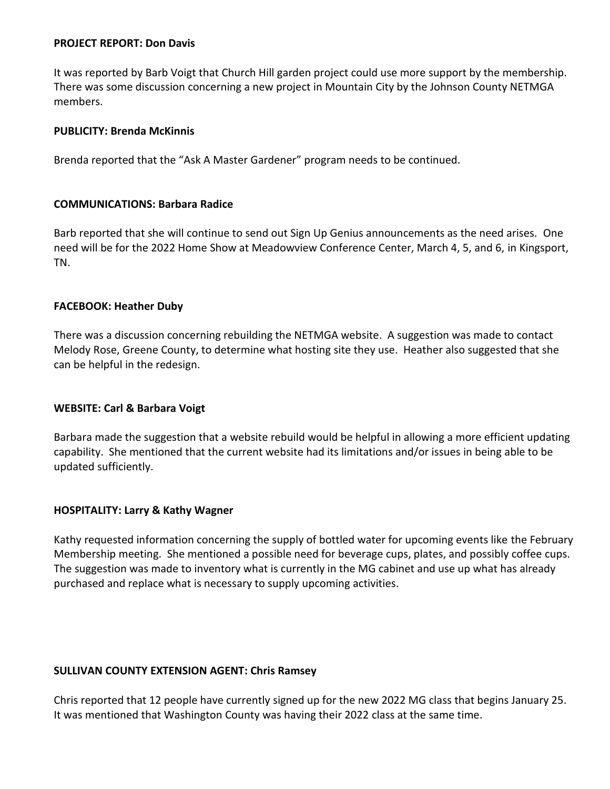# **PROJECT REPORT: Don Davis**

It was reported by Barb Voigt that Church Hill garden project could use more support by the membership. There was some discussion concerning a new project in Mountain City by the Johnson County NETMGA members.

## **PUBLICITY: Brenda McKinnis**

Brenda reported that the "Ask A Master Gardener" program needs to be continued.

### **COMMUNICATIONS: Barbara Radice**

Barb reported that she will continue to send out Sign Up Genius announcements as the need arises. One need will be for the 2022 Home Show at Meadowview Conference Center, March 4, 5, and 6, in Kingsport, TN.

### **FACEBOOK: Heather Duby**

There was a discussion concerning rebuilding the NETMGA website. A suggestion was made to contact Melody Rose, Greene County, to determine what hosting site they use. Heather also suggested that she can be helpful in the redesign.

# **WEBSITE: Carl & Barbara Voigt**

Barbara made the suggestion that a website rebuild would be helpful in allowing a more efficient updating capability. She mentioned that the current website had its limitations and/or issues in being able to be updated sufficiently.

# **HOSPITALITY: Larry & Kathy Wagner**

Kathy requested information concerning the supply of bottled water for upcoming events like the February Membership meeting. She mentioned a possible need for beverage cups, plates, and possibly coffee cups. The suggestion was made to inventory what is currently in the MG cabinet and use up what has already purchased and replace what is necessary to supply upcoming activities.

# **SULLIVAN COUNTY EXTENSION AGENT: Chris Ramsey**

Chris reported that 12 people have currently signed up for the new 2022 MG class that begins January 25. It was mentioned that Washington County was having their 2022 class at the same time.